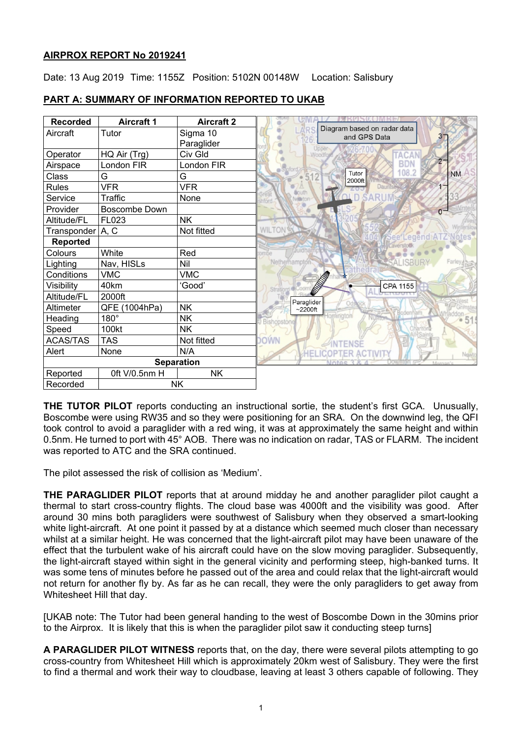## **AIRPROX REPORT No 2019241**

Date: 13 Aug 2019 Time: 1155Z Position: 5102N 00148W Location: Salisbury



## **PART A: SUMMARY OF INFORMATION REPORTED TO UKAB**

**THE TUTOR PILOT** reports conducting an instructional sortie, the student's first GCA. Unusually, Boscombe were using RW35 and so they were positioning for an SRA. On the downwind leg, the QFI took control to avoid a paraglider with a red wing, it was at approximately the same height and within 0.5nm. He turned to port with 45° AOB. There was no indication on radar, TAS or FLARM. The incident was reported to ATC and the SRA continued.

The pilot assessed the risk of collision as 'Medium'.

**THE PARAGLIDER PILOT** reports that at around midday he and another paraglider pilot caught a thermal to start cross-country flights. The cloud base was 4000ft and the visibility was good. After around 30 mins both paragliders were southwest of Salisbury when they observed a smart-looking white light-aircraft. At one point it passed by at a distance which seemed much closer than necessary whilst at a similar height. He was concerned that the light-aircraft pilot may have been unaware of the effect that the turbulent wake of his aircraft could have on the slow moving paraglider. Subsequently, the light-aircraft stayed within sight in the general vicinity and performing steep, high-banked turns. It was some tens of minutes before he passed out of the area and could relax that the light-aircraft would not return for another fly by. As far as he can recall, they were the only paragliders to get away from Whitesheet Hill that day.

[UKAB note: The Tutor had been general handing to the west of Boscombe Down in the 30mins prior to the Airprox. It is likely that this is when the paraglider pilot saw it conducting steep turns]

**A PARAGLIDER PILOT WITNESS** reports that, on the day, there were several pilots attempting to go cross-country from Whitesheet Hill which is approximately 20km west of Salisbury. They were the first to find a thermal and work their way to cloudbase, leaving at least 3 others capable of following. They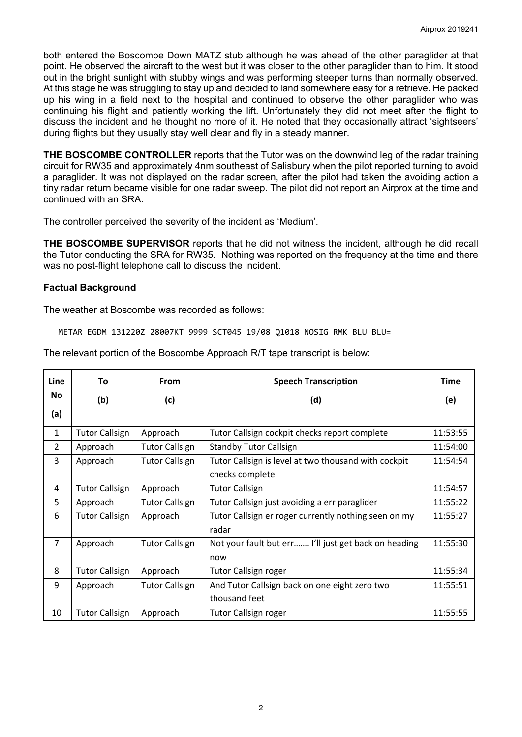both entered the Boscombe Down MATZ stub although he was ahead of the other paraglider at that point. He observed the aircraft to the west but it was closer to the other paraglider than to him. It stood out in the bright sunlight with stubby wings and was performing steeper turns than normally observed. At this stage he was struggling to stay up and decided to land somewhere easy for a retrieve. He packed up his wing in a field next to the hospital and continued to observe the other paraglider who was continuing his flight and patiently working the lift. Unfortunately they did not meet after the flight to discuss the incident and he thought no more of it. He noted that they occasionally attract 'sightseers' during flights but they usually stay well clear and fly in a steady manner.

**THE BOSCOMBE CONTROLLER** reports that the Tutor was on the downwind leg of the radar training circuit for RW35 and approximately 4nm southeast of Salisbury when the pilot reported turning to avoid a paraglider. It was not displayed on the radar screen, after the pilot had taken the avoiding action a tiny radar return became visible for one radar sweep. The pilot did not report an Airprox at the time and continued with an SRA.

The controller perceived the severity of the incident as 'Medium'.

**THE BOSCOMBE SUPERVISOR** reports that he did not witness the incident, although he did recall the Tutor conducting the SRA for RW35. Nothing was reported on the frequency at the time and there was no post-flight telephone call to discuss the incident.

#### **Factual Background**

The weather at Boscombe was recorded as follows:

METAR EGDM 131220Z 28007KT 9999 SCT045 19/08 Q1018 NOSIG RMK BLU BLU=

| Line           | To                    | From                  | <b>Speech Transcription</b>                                      | <b>Time</b> |
|----------------|-----------------------|-----------------------|------------------------------------------------------------------|-------------|
| No             | (b)                   | (c)                   | (d)                                                              | (e)         |
| (a)            |                       |                       |                                                                  |             |
| $\mathbf{1}$   | <b>Tutor Callsign</b> | Approach              | Tutor Callsign cockpit checks report complete<br>11:53:55        |             |
| $\overline{2}$ | Approach              | <b>Tutor Callsign</b> | <b>Standby Tutor Callsign</b><br>11:54:00                        |             |
| 3              | Approach              | <b>Tutor Callsign</b> | Tutor Callsign is level at two thousand with cockpit<br>11:54:54 |             |
|                |                       |                       | checks complete                                                  |             |
| 4              | <b>Tutor Callsign</b> | Approach              | <b>Tutor Callsign</b>                                            | 11:54:57    |
| 5              | Approach              | <b>Tutor Callsign</b> | Tutor Callsign just avoiding a err paraglider                    | 11:55:22    |
| 6              | <b>Tutor Callsign</b> | Approach              | Tutor Callsign er roger currently nothing seen on my<br>11:55:27 |             |
|                |                       |                       | radar                                                            |             |
| $\overline{7}$ | Approach              | <b>Tutor Callsign</b> | 11:55:30<br>Not your fault but err I'll just get back on heading |             |
|                |                       |                       | now                                                              |             |
| 8              | <b>Tutor Callsign</b> | Approach              | <b>Tutor Callsign roger</b>                                      | 11:55:34    |
| 9              | Approach              | <b>Tutor Callsign</b> | And Tutor Callsign back on one eight zero two                    | 11:55:51    |
|                |                       |                       | thousand feet                                                    |             |
| 10             | <b>Tutor Callsign</b> | Approach              | <b>Tutor Callsign roger</b>                                      | 11:55:55    |

The relevant portion of the Boscombe Approach R/T tape transcript is below: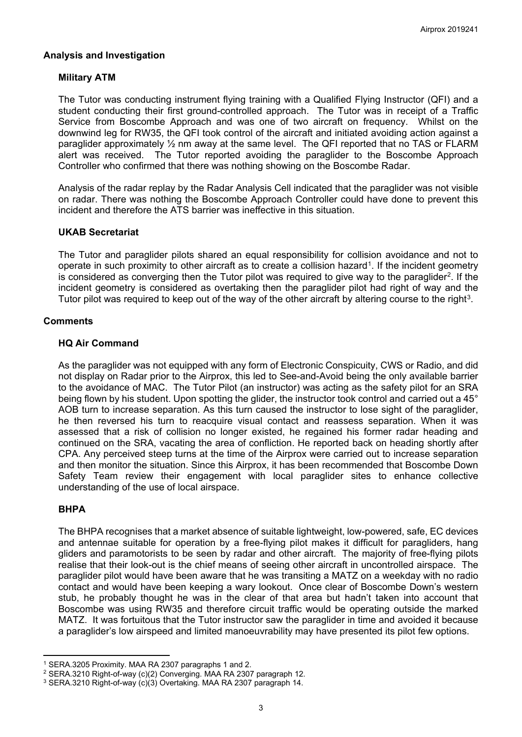#### **Analysis and Investigation**

## **Military ATM**

The Tutor was conducting instrument flying training with a Qualified Flying Instructor (QFI) and a student conducting their first ground-controlled approach. The Tutor was in receipt of a Traffic Service from Boscombe Approach and was one of two aircraft on frequency. Whilst on the downwind leg for RW35, the QFI took control of the aircraft and initiated avoiding action against a paraglider approximately ½ nm away at the same level. The QFI reported that no TAS or FLARM alert was received. The Tutor reported avoiding the paraglider to the Boscombe Approach Controller who confirmed that there was nothing showing on the Boscombe Radar.

Analysis of the radar replay by the Radar Analysis Cell indicated that the paraglider was not visible on radar. There was nothing the Boscombe Approach Controller could have done to prevent this incident and therefore the ATS barrier was ineffective in this situation.

#### **UKAB Secretariat**

The Tutor and paraglider pilots shared an equal responsibility for collision avoidance and not to operate in such proximity to other aircraft as to create a collision hazard<sup>1</sup>. If the incident geometry is considered as converging then the Tutor pilot was required to give way to the paraglider<sup>[2](#page-2-1)</sup>. If the incident geometry is considered as overtaking then the paraglider pilot had right of way and the Tutor pilot was required to keep out of the way of the other aircraft by altering course to the right<sup>3</sup>.

#### **Comments**

#### **HQ Air Command**

As the paraglider was not equipped with any form of Electronic Conspicuity, CWS or Radio, and did not display on Radar prior to the Airprox, this led to See-and-Avoid being the only available barrier to the avoidance of MAC. The Tutor Pilot (an instructor) was acting as the safety pilot for an SRA being flown by his student. Upon spotting the glider, the instructor took control and carried out a 45° AOB turn to increase separation. As this turn caused the instructor to lose sight of the paraglider, he then reversed his turn to reacquire visual contact and reassess separation. When it was assessed that a risk of collision no longer existed, he regained his former radar heading and continued on the SRA, vacating the area of confliction. He reported back on heading shortly after CPA. Any perceived steep turns at the time of the Airprox were carried out to increase separation and then monitor the situation. Since this Airprox, it has been recommended that Boscombe Down Safety Team review their engagement with local paraglider sites to enhance collective understanding of the use of local airspace.

## **BHPA**

The BHPA recognises that a market absence of suitable lightweight, low-powered, safe, EC devices and antennae suitable for operation by a free-flying pilot makes it difficult for paragliders, hang gliders and paramotorists to be seen by radar and other aircraft. The majority of free-flying pilots realise that their look-out is the chief means of seeing other aircraft in uncontrolled airspace. The paraglider pilot would have been aware that he was transiting a MATZ on a weekday with no radio contact and would have been keeping a wary lookout. Once clear of Boscombe Down's western stub, he probably thought he was in the clear of that area but hadn't taken into account that Boscombe was using RW35 and therefore circuit traffic would be operating outside the marked MATZ. It was fortuitous that the Tutor instructor saw the paraglider in time and avoided it because a paraglider's low airspeed and limited manoeuvrability may have presented its pilot few options.

l <sup>1</sup> SERA.3205 Proximity. MAA RA 2307 paragraphs 1 and 2.

<span id="page-2-1"></span><span id="page-2-0"></span><sup>2</sup> SERA.3210 Right-of-way (c)(2) Converging. MAA RA 2307 paragraph 12.

<span id="page-2-2"></span><sup>3</sup> SERA.3210 Right-of-way (c)(3) Overtaking. MAA RA 2307 paragraph 14.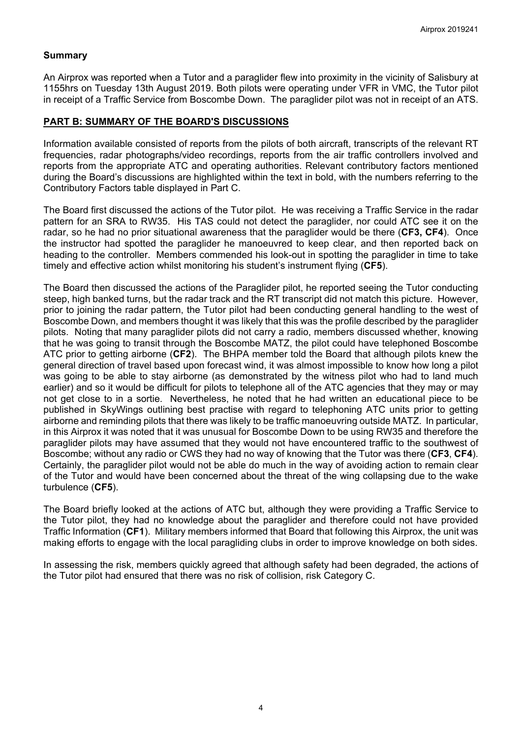## **Summary**

An Airprox was reported when a Tutor and a paraglider flew into proximity in the vicinity of Salisbury at 1155hrs on Tuesday 13th August 2019. Both pilots were operating under VFR in VMC, the Tutor pilot in receipt of a Traffic Service from Boscombe Down. The paraglider pilot was not in receipt of an ATS.

#### **PART B: SUMMARY OF THE BOARD'S DISCUSSIONS**

Information available consisted of reports from the pilots of both aircraft, transcripts of the relevant RT frequencies, radar photographs/video recordings, reports from the air traffic controllers involved and reports from the appropriate ATC and operating authorities. Relevant contributory factors mentioned during the Board's discussions are highlighted within the text in bold, with the numbers referring to the Contributory Factors table displayed in Part C.

The Board first discussed the actions of the Tutor pilot. He was receiving a Traffic Service in the radar pattern for an SRA to RW35. His TAS could not detect the paraglider, nor could ATC see it on the radar, so he had no prior situational awareness that the paraglider would be there (**CF3, CF4**). Once the instructor had spotted the paraglider he manoeuvred to keep clear, and then reported back on heading to the controller. Members commended his look-out in spotting the paraglider in time to take timely and effective action whilst monitoring his student's instrument flying (**CF5**).

The Board then discussed the actions of the Paraglider pilot, he reported seeing the Tutor conducting steep, high banked turns, but the radar track and the RT transcript did not match this picture. However, prior to joining the radar pattern, the Tutor pilot had been conducting general handling to the west of Boscombe Down, and members thought it was likely that this was the profile described by the paraglider pilots. Noting that many paraglider pilots did not carry a radio, members discussed whether, knowing that he was going to transit through the Boscombe MATZ, the pilot could have telephoned Boscombe ATC prior to getting airborne (**CF2**). The BHPA member told the Board that although pilots knew the general direction of travel based upon forecast wind, it was almost impossible to know how long a pilot was going to be able to stay airborne (as demonstrated by the witness pilot who had to land much earlier) and so it would be difficult for pilots to telephone all of the ATC agencies that they may or may not get close to in a sortie. Nevertheless, he noted that he had written an educational piece to be published in SkyWings outlining best practise with regard to telephoning ATC units prior to getting airborne and reminding pilots that there was likely to be traffic manoeuvring outside MATZ. In particular, in this Airprox it was noted that it was unusual for Boscombe Down to be using RW35 and therefore the paraglider pilots may have assumed that they would not have encountered traffic to the southwest of Boscombe; without any radio or CWS they had no way of knowing that the Tutor was there (**CF3**, **CF4**). Certainly, the paraglider pilot would not be able do much in the way of avoiding action to remain clear of the Tutor and would have been concerned about the threat of the wing collapsing due to the wake turbulence (**CF5**).

The Board briefly looked at the actions of ATC but, although they were providing a Traffic Service to the Tutor pilot, they had no knowledge about the paraglider and therefore could not have provided Traffic Information (**CF1**). Military members informed that Board that following this Airprox, the unit was making efforts to engage with the local paragliding clubs in order to improve knowledge on both sides.

In assessing the risk, members quickly agreed that although safety had been degraded, the actions of the Tutor pilot had ensured that there was no risk of collision, risk Category C.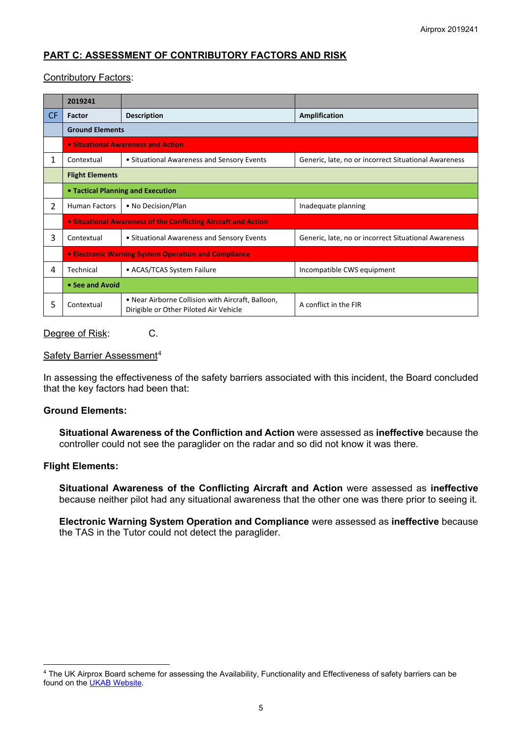# **PART C: ASSESSMENT OF CONTRIBUTORY FACTORS AND RISK**

## Contributory Factors:

|     | 2019241                                                        |                                                                                             |                                                      |  |  |  |
|-----|----------------------------------------------------------------|---------------------------------------------------------------------------------------------|------------------------------------------------------|--|--|--|
| CF. | Factor                                                         | <b>Description</b>                                                                          | Amplification                                        |  |  |  |
|     | <b>Ground Elements</b>                                         |                                                                                             |                                                      |  |  |  |
|     | • Situational Awareness and Action                             |                                                                                             |                                                      |  |  |  |
| 1   | Contextual                                                     | • Situational Awareness and Sensory Events                                                  | Generic, late, no or incorrect Situational Awareness |  |  |  |
|     | <b>Flight Elements</b>                                         |                                                                                             |                                                      |  |  |  |
|     | • Tactical Planning and Execution                              |                                                                                             |                                                      |  |  |  |
| 2   | <b>Human Factors</b>                                           | • No Decision/Plan                                                                          | Inadequate planning                                  |  |  |  |
|     | • Situational Awareness of the Conflicting Aircraft and Action |                                                                                             |                                                      |  |  |  |
| 3   | Contextual                                                     | • Situational Awareness and Sensory Events                                                  | Generic, late, no or incorrect Situational Awareness |  |  |  |
|     | • Electronic Warning System Operation and Compliance           |                                                                                             |                                                      |  |  |  |
| 4   | Technical                                                      | • ACAS/TCAS System Failure                                                                  | Incompatible CWS equipment                           |  |  |  |
|     | • See and Avoid                                                |                                                                                             |                                                      |  |  |  |
| 5   | Contextual                                                     | • Near Airborne Collision with Aircraft, Balloon,<br>Dirigible or Other Piloted Air Vehicle | A conflict in the FIR                                |  |  |  |

## Degree of Risk: C.

## Safety Barrier Assessment<sup>[4](#page-4-0)</sup>

In assessing the effectiveness of the safety barriers associated with this incident, the Board concluded that the key factors had been that:

#### **Ground Elements:**

**Situational Awareness of the Confliction and Action** were assessed as **ineffective** because the controller could not see the paraglider on the radar and so did not know it was there.

#### **Flight Elements:**

 $\overline{\phantom{a}}$ 

**Situational Awareness of the Conflicting Aircraft and Action** were assessed as **ineffective** because neither pilot had any situational awareness that the other one was there prior to seeing it.

**Electronic Warning System Operation and Compliance** were assessed as **ineffective** because the TAS in the Tutor could not detect the paraglider.

<span id="page-4-0"></span><sup>4</sup> The UK Airprox Board scheme for assessing the Availability, Functionality and Effectiveness of safety barriers can be found on the **UKAB Website**.